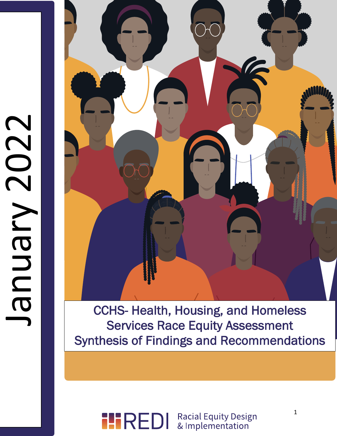# January 2022 CCO2 NN BN B



**Services Race Equity Assessment** CCHS- Health, Housing, and Homeless Synthesis of Findings and Recommendations

#### **Racial Equity Design IIREDI** & Implementation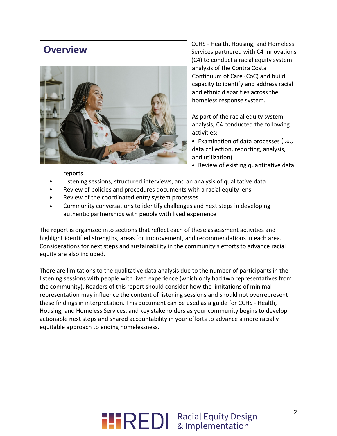## **Overview**



CCHS - Health, Housing, and Homeless Services partnered with C4 Innovations (C4) to conduct a racial equity system analysis of the Contra Costa Continuum of Care (CoC) and build capacity to identify and address racial and ethnic disparities across the homeless response system.

As part of the racial equity system analysis, C4 conducted the following activities:

- Examination of data processes (i.e., data collection, reporting, analysis, and utilization)
- Review of existing quantitative data

reports

- Listening sessions, structured interviews, and an analysis of qualitative data
- Review of policies and procedures documents with a racial equity lens
- Review of the coordinated entry system processes
- Community conversations to identify challenges and next steps in developing authentic partnerships with people with lived experience

The report is organized into sections that reflect each of these assessment activities and highlight identified strengths, areas for improvement, and recommendations in each area. Considerations for next steps and sustainability in the community's efforts to advance racial equity are also included.

There are limitations to the qualitative data analysis due to the number of participants in the listening sessions with people with lived experience (which only had two representatives from the community). Readers of this report should consider how the limitations of minimal representation may influence the content of listening sessions and should not overrepresent these findings in interpretation. This document can be used as a guide for CCHS - Health, Housing, and Homeless Services, and key stakeholders as your community begins to develop actionable next steps and shared accountability in your efforts to advance a more racially equitable approach to ending homelessness.

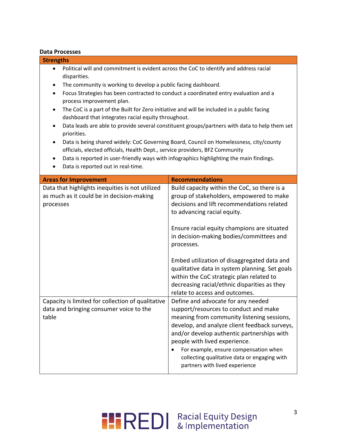## **Data Processes**

| <b>Strengths</b>                                                                                                                                                                                                                                                                                                                                                                                                                                                                                                                                                                                                                                                                                                                                                                                                                                                                                                                |                                                                                                                                                                                                                                                                                                                                                                                                                                                                                                               |  |
|---------------------------------------------------------------------------------------------------------------------------------------------------------------------------------------------------------------------------------------------------------------------------------------------------------------------------------------------------------------------------------------------------------------------------------------------------------------------------------------------------------------------------------------------------------------------------------------------------------------------------------------------------------------------------------------------------------------------------------------------------------------------------------------------------------------------------------------------------------------------------------------------------------------------------------|---------------------------------------------------------------------------------------------------------------------------------------------------------------------------------------------------------------------------------------------------------------------------------------------------------------------------------------------------------------------------------------------------------------------------------------------------------------------------------------------------------------|--|
| Political will and commitment is evident across the CoC to identify and address racial<br>disparities.<br>The community is working to develop a public facing dashboard.<br>٠<br>Focus Strategies has been contracted to conduct a coordinated entry evaluation and a<br>$\bullet$<br>process improvement plan.<br>The CoC is a part of the Built for Zero initiative and will be included in a public facing<br>dashboard that integrates racial equity throughout.<br>Data leads are able to provide several constituent groups/partners with data to help them set<br>٠<br>priorities.<br>Data is being shared widely: CoC Governing Board, Council on Homelessness, city/county<br>$\bullet$<br>officials, elected officials, Health Dept., service providers, BFZ Community<br>Data is reported in user-friendly ways with infographics highlighting the main findings.<br>$\bullet$<br>Data is reported out in real-time. |                                                                                                                                                                                                                                                                                                                                                                                                                                                                                                               |  |
| <b>Areas for Improvement</b>                                                                                                                                                                                                                                                                                                                                                                                                                                                                                                                                                                                                                                                                                                                                                                                                                                                                                                    | <b>Recommendations</b>                                                                                                                                                                                                                                                                                                                                                                                                                                                                                        |  |
| Data that highlights inequities is not utilized<br>as much as it could be in decision-making<br>processes                                                                                                                                                                                                                                                                                                                                                                                                                                                                                                                                                                                                                                                                                                                                                                                                                       | Build capacity within the CoC, so there is a<br>group of stakeholders, empowered to make<br>decisions and lift recommendations related<br>to advancing racial equity.<br>Ensure racial equity champions are situated<br>in decision-making bodies/committees and<br>processes.<br>Embed utilization of disaggregated data and<br>qualitative data in system planning. Set goals<br>within the CoC strategic plan related to<br>decreasing racial/ethnic disparities as they<br>relate to access and outcomes. |  |
| Capacity is limited for collection of qualitative<br>data and bringing consumer voice to the<br>table                                                                                                                                                                                                                                                                                                                                                                                                                                                                                                                                                                                                                                                                                                                                                                                                                           | Define and advocate for any needed<br>support/resources to conduct and make<br>meaning from community listening sessions,<br>develop, and analyze client feedback surveys,<br>and/or develop authentic partnerships with<br>people with lived experience.<br>For example, ensure compensation when<br>collecting qualitative data or engaging with<br>partners with lived experience                                                                                                                          |  |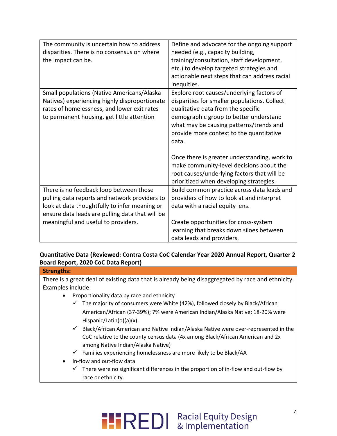| The community is uncertain how to address       | Define and advocate for the ongoing support   |
|-------------------------------------------------|-----------------------------------------------|
| disparities. There is no consensus on where     | needed (e.g., capacity building,              |
| the impact can be.                              | training/consultation, staff development,     |
|                                                 | etc.) to develop targeted strategies and      |
|                                                 | actionable next steps that can address racial |
|                                                 | inequities.                                   |
| Small populations (Native Americans/Alaska      | Explore root causes/underlying factors of     |
| Natives) experiencing highly disproportionate   | disparities for smaller populations. Collect  |
| rates of homelessness, and lower exit rates     | qualitative data from the specific            |
| to permanent housing, get little attention      | demographic group to better understand        |
|                                                 | what may be causing patterns/trends and       |
|                                                 | provide more context to the quantitative      |
|                                                 | data.                                         |
|                                                 |                                               |
|                                                 | Once there is greater understanding, work to  |
|                                                 | make community-level decisions about the      |
|                                                 | root causes/underlying factors that will be   |
|                                                 | prioritized when developing strategies.       |
| There is no feedback loop between those         | Build common practice across data leads and   |
| pulling data reports and network providers to   | providers of how to look at and interpret     |
| look at data thoughtfully to infer meaning or   | data with a racial equity lens.               |
| ensure data leads are pulling data that will be |                                               |
| meaningful and useful to providers.             | Create opportunities for cross-system         |
|                                                 | learning that breaks down siloes between      |
|                                                 | data leads and providers.                     |
|                                                 |                                               |

## **Quantitative Data (Reviewed: Contra Costa CoC Calendar Year 2020 Annual Report, Quarter 2 Board Report, 2020 CoC Data Report)**

| There is a great deal of existing data that is already being disaggregated by race and ethnicity. |
|---------------------------------------------------------------------------------------------------|
| Examples include:                                                                                 |
| Proportionality data by race and ethnicity                                                        |
| The majority of consumers were White (42%), followed closely by Black/African                     |
| American/African (37-39%); 7% were American Indian/Alaska Native; 18-20% were                     |
| Hispanic/Latin( $o$ )( $a$ )( $x$ ).                                                              |
| Black/African American and Native Indian/Alaska Native were over-represented in the               |
| CoC relative to the county census data (4x among Black/African American and 2x                    |
| among Native Indian/Alaska Native)                                                                |
| Families experiencing homelessness are more likely to be Black/AA                                 |
| In-flow and out-flow data                                                                         |
| There were no significant differences in the proportion of in-flow and out-flow by                |
| race or ethnicity.                                                                                |
|                                                                                                   |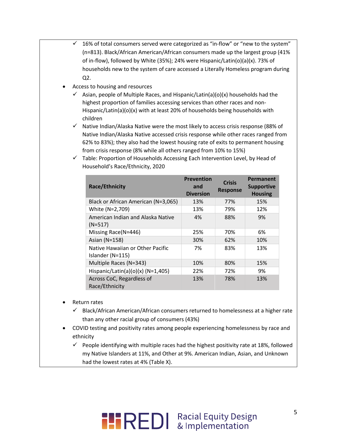- $\checkmark$  16% of total consumers served were categorized as "in-flow" or "new to the system" (n=813). Black/African American/African consumers made up the largest group (41% of in-flow), followed by White (35%); 24% were Hispanic/Latin(o)(a)(x). 73% of households new to the system of care accessed a Literally Homeless program during Q2.
- Access to housing and resources
	- $\checkmark$  Asian, people of Multiple Races, and Hispanic/Latin(a)(o)(x) households had the highest proportion of families accessing services than other races and non-Hispanic/Latin(a)(o)(x) with at least 20% of households being households with children
	- $\checkmark$  Native Indian/Alaska Native were the most likely to access crisis response (88% of Native Indian/Alaska Native accessed crisis response while other races ranged from 62% to 83%); they also had the lowest housing rate of exits to permanent housing from crisis response (8% while all others ranged from 10% to 15%)

| Race/Ethnicity                                       | <b>Prevention</b><br>and<br><b>Diversion</b> | <b>Crisis</b><br><b>Response</b> | Permanent<br><b>Supportive</b><br><b>Housing</b> |
|------------------------------------------------------|----------------------------------------------|----------------------------------|--------------------------------------------------|
| Black or African American (N=3,065)                  | 13%                                          | 77%                              | 15%                                              |
| White (N=2,709)                                      | 13%                                          | 79%                              | 12%                                              |
| American Indian and Alaska Native<br>$(N=517)$       | 4%                                           | 88%                              | 9%                                               |
| Missing Race(N=446)                                  | 25%                                          | 70%                              | 6%                                               |
| Asian (N=158)                                        | 30%                                          | 62%                              | 10%                                              |
| Native Hawaiian or Other Pacific<br>Islander (N=115) | 7%                                           | 83%                              | 13%                                              |
| Multiple Races (N=343)                               | 10%                                          | 80%                              | 15%                                              |
| Hispanic/Latin(a)(o)(x) (N=1,405)                    | 22%                                          | 72%                              | 9%                                               |
| Across CoC, Regardless of<br>Race/Ethnicity          | 13%                                          | 78%                              | 13%                                              |

 $\checkmark$  Table: Proportion of Households Accessing Each Intervention Level, by Head of Household's Race/Ethnicity, 2020

- Return rates
	- $\checkmark$  Black/African American/African consumers returned to homelessness at a higher rate than any other racial group of consumers (43%)
- COVID testing and positivity rates among people experiencing homelessness by race and ethnicity
	- $\checkmark$  People identifying with multiple races had the highest positivity rate at 18%, followed my Native Islanders at 11%, and Other at 9%. American Indian, Asian, and Unknown had the lowest rates at 4% (Table X).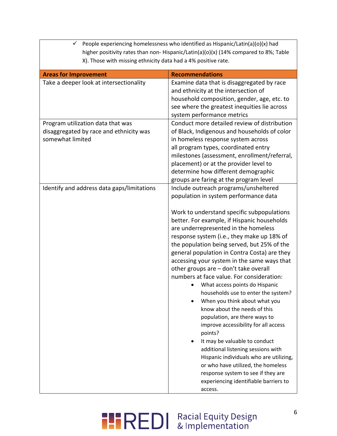| People experiencing homelessness who identified as Hispanic/Latin(a)(o)(x) had<br>✓              |                                                                                                                                                                                                                                                                                                                                                                                                                                                                                                                                                                                                                                                                                                                                                                                                                                                                                                                                                                                         |  |
|--------------------------------------------------------------------------------------------------|-----------------------------------------------------------------------------------------------------------------------------------------------------------------------------------------------------------------------------------------------------------------------------------------------------------------------------------------------------------------------------------------------------------------------------------------------------------------------------------------------------------------------------------------------------------------------------------------------------------------------------------------------------------------------------------------------------------------------------------------------------------------------------------------------------------------------------------------------------------------------------------------------------------------------------------------------------------------------------------------|--|
| higher positivity rates than non- Hispanic/Latin(a)(o)(x) (14% compared to 8%; Table             |                                                                                                                                                                                                                                                                                                                                                                                                                                                                                                                                                                                                                                                                                                                                                                                                                                                                                                                                                                                         |  |
| X). Those with missing ethnicity data had a 4% positive rate.                                    |                                                                                                                                                                                                                                                                                                                                                                                                                                                                                                                                                                                                                                                                                                                                                                                                                                                                                                                                                                                         |  |
| <b>Areas for Improvement</b>                                                                     | <b>Recommendations</b>                                                                                                                                                                                                                                                                                                                                                                                                                                                                                                                                                                                                                                                                                                                                                                                                                                                                                                                                                                  |  |
| Take a deeper look at intersectionality                                                          | Examine data that is disaggregated by race<br>and ethnicity at the intersection of<br>household composition, gender, age, etc. to<br>see where the greatest inequities lie across<br>system performance metrics                                                                                                                                                                                                                                                                                                                                                                                                                                                                                                                                                                                                                                                                                                                                                                         |  |
| Program utilization data that was<br>disaggregated by race and ethnicity was<br>somewhat limited | Conduct more detailed review of distribution<br>of Black, Indigenous and households of color<br>in homeless response system across<br>all program types, coordinated entry<br>milestones (assessment, enrollment/referral,<br>placement) or at the provider level to<br>determine how different demographic<br>groups are faring at the program level                                                                                                                                                                                                                                                                                                                                                                                                                                                                                                                                                                                                                                   |  |
| Identify and address data gaps/limitations                                                       | Include outreach programs/unsheltered<br>population in system performance data<br>Work to understand specific subpopulations<br>better. For example, if Hispanic households<br>are underrepresented in the homeless<br>response system (i.e., they make up 18% of<br>the population being served, but 25% of the<br>general population in Contra Costa) are they<br>accessing your system in the same ways that<br>other groups are - don't take overall<br>numbers at face value. For consideration:<br>• What access points do Hispanic<br>households use to enter the system?<br>When you think about what you<br>know about the needs of this<br>population, are there ways to<br>improve accessibility for all access<br>points?<br>It may be valuable to conduct<br>additional listening sessions with<br>Hispanic individuals who are utilizing,<br>or who have utilized, the homeless<br>response system to see if they are<br>experiencing identifiable barriers to<br>access. |  |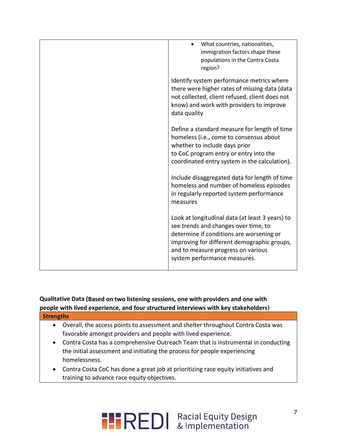| What countries, nationalities,<br>immigration factors shape these<br>populations in the Contra Costa<br>region?                                                                                                                                          |
|----------------------------------------------------------------------------------------------------------------------------------------------------------------------------------------------------------------------------------------------------------|
| Identify system performance metrics where<br>there were higher rates of missing data (data<br>not collected, client refused, client does not<br>know) and work with providers to improve<br>data quality                                                 |
| Define a standard measure for length of time<br>homeless (i.e., come to consensus about<br>whether to include days prior<br>to CoC program entry or entry into the<br>coordinated entry system in the calculation).                                      |
| Include disaggregated data for length of time<br>homeless and number of homeless episodes<br>in regularly reported system performance<br>measures                                                                                                        |
| Look at longitudinal data (at least 3 years) to<br>see trends and changes over time, to<br>determine if conditions are worsening or<br>improving for different demographic groups,<br>and to measure progress on various<br>system performance measures. |

## **Qualitative Data (Based on two listening sessions, one with providers and one with people with lived experience, and four structured interviews with key stakeholders) Strengths**

- Overall, the access points to assessment and shelter throughout Contra Costa was favorable amongst providers and people with lived experience.
- Contra Costa has a comprehensive Outreach Team that is instrumental in conducting the initial assessment and initiating the process for people experiencing homelessness.
- Contra Costa CoC has done a great job at prioritizing race equity initiatives and training to advance race equity objectives.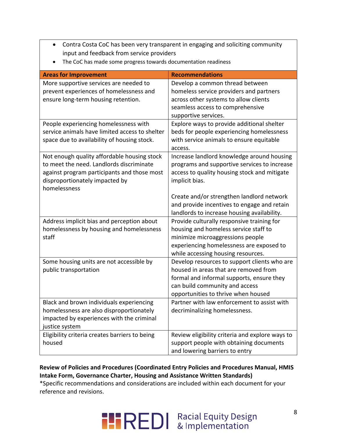- Contra Costa CoC has been very transparent in engaging and soliciting community input and feedback from service providers
- The CoC has made some progress towards documentation readiness

| <b>Areas for Improvement</b>                   | <b>Recommendations</b>                          |
|------------------------------------------------|-------------------------------------------------|
| More supportive services are needed to         | Develop a common thread between                 |
| prevent experiences of homelessness and        | homeless service providers and partners         |
| ensure long-term housing retention.            | across other systems to allow clients           |
|                                                | seamless access to comprehensive                |
|                                                | supportive services.                            |
| People experiencing homelessness with          | Explore ways to provide additional shelter      |
| service animals have limited access to shelter | beds for people experiencing homelessness       |
| space due to availability of housing stock.    | with service animals to ensure equitable        |
|                                                | access.                                         |
| Not enough quality affordable housing stock    | Increase landlord knowledge around housing      |
| to meet the need. Landlords discriminate       | programs and supportive services to increase    |
| against program participants and those most    | access to quality housing stock and mitigate    |
| disproportionately impacted by                 | implicit bias.                                  |
| homelessness                                   |                                                 |
|                                                | Create and/or strengthen landlord network       |
|                                                | and provide incentives to engage and retain     |
|                                                | landlords to increase housing availability.     |
| Address implicit bias and perception about     | Provide culturally responsive training for      |
| homelessness by housing and homelessness       | housing and homeless service staff to           |
| staff                                          | minimize microaggressions people                |
|                                                | experiencing homelessness are exposed to        |
|                                                | while accessing housing resources.              |
| Some housing units are not accessible by       | Develop resources to support clients who are    |
| public transportation                          | housed in areas that are removed from           |
|                                                | formal and informal supports, ensure they       |
|                                                | can build community and access                  |
|                                                | opportunities to thrive when housed             |
| Black and brown individuals experiencing       | Partner with law enforcement to assist with     |
| homelessness are also disproportionately       | decriminalizing homelessness.                   |
| impacted by experiences with the criminal      |                                                 |
| justice system                                 |                                                 |
| Eligibility criteria creates barriers to being | Review eligibility criteria and explore ways to |
| housed                                         | support people with obtaining documents         |
|                                                | and lowering barriers to entry                  |

## **Review of Policies and Procedures (Coordinated Entry Policies and Procedures Manual, HMIS Intake Form, Governance Charter, Housing and Assistance Written Standards)**

\*Specific recommendations and considerations are included within each document for your reference and revisions.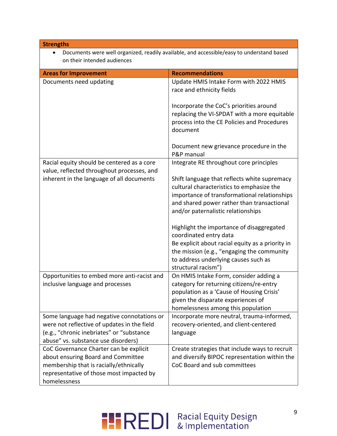| <b>Strengths</b>                                                                                                                                                                   |                                                                                                                                                                                                                                      |
|------------------------------------------------------------------------------------------------------------------------------------------------------------------------------------|--------------------------------------------------------------------------------------------------------------------------------------------------------------------------------------------------------------------------------------|
|                                                                                                                                                                                    | Documents were well organized, readily available, and accessible/easy to understand based                                                                                                                                            |
| on their intended audiences                                                                                                                                                        |                                                                                                                                                                                                                                      |
| <b>Areas for Improvement</b>                                                                                                                                                       | <b>Recommendations</b>                                                                                                                                                                                                               |
| Documents need updating                                                                                                                                                            | Update HMIS Intake Form with 2022 HMIS<br>race and ethnicity fields                                                                                                                                                                  |
|                                                                                                                                                                                    | Incorporate the CoC's priorities around<br>replacing the VI-SPDAT with a more equitable<br>process into the CE Policies and Procedures<br>document                                                                                   |
|                                                                                                                                                                                    | Document new grievance procedure in the<br>P&P manual                                                                                                                                                                                |
| Racial equity should be centered as a core<br>value, reflected throughout processes, and                                                                                           | Integrate RE throughout core principles                                                                                                                                                                                              |
| inherent in the language of all documents                                                                                                                                          | Shift language that reflects white supremacy<br>cultural characteristics to emphasize the<br>importance of transformational relationships<br>and shared power rather than transactional<br>and/or paternalistic relationships        |
|                                                                                                                                                                                    | Highlight the importance of disaggregated<br>coordinated entry data<br>Be explicit about racial equity as a priority in<br>the mission (e.g., "engaging the community<br>to address underlying causes such as<br>structural racism") |
| Opportunities to embed more anti-racist and<br>inclusive language and processes                                                                                                    | On HMIS Intake Form, consider adding a<br>category for returning citizens/re-entry<br>population as a 'Cause of Housing Crisis'<br>given the disparate experiences of<br>homelessness among this population                          |
| Some language had negative connotations or<br>were not reflective of updates in the field<br>(e.g., "chronic inebriates" or "substance<br>abuse" vs. substance use disorders)      | Incorporate more neutral, trauma-informed,<br>recovery-oriented, and client-centered<br>language                                                                                                                                     |
| CoC Governance Charter can be explicit<br>about ensuring Board and Committee<br>membership that is racially/ethnically<br>representative of those most impacted by<br>homelessness | Create strategies that include ways to recruit<br>and diversify BIPOC representation within the<br>CoC Board and sub committees                                                                                                      |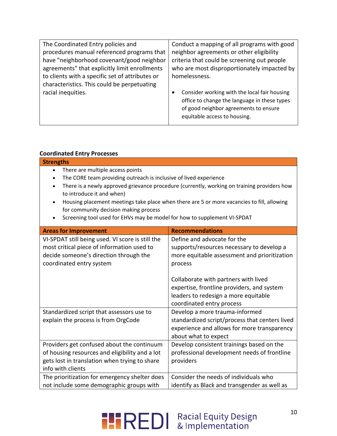| The Coordinated Entry policies and              | Conduct a mapping of all programs with good                                                                                                                                |
|-------------------------------------------------|----------------------------------------------------------------------------------------------------------------------------------------------------------------------------|
| procedures manual referenced programs that      | neighbor agreements or other eligibility                                                                                                                                   |
| have "neighborhood covenant/good neighbor       | criteria that could be screening out people                                                                                                                                |
| agreements" that explicitly limit enrollments   | who are most disproportionately impacted by                                                                                                                                |
| to clients with a specific set of attributes or | homelessness.                                                                                                                                                              |
| characteristics. This could be perpetuating     |                                                                                                                                                                            |
| racial inequities.                              | Consider working with the local fair housing<br>٠<br>office to change the language in these types<br>of good neighbor agreements to ensure<br>equitable access to housing. |

### **Coordinated Entry Processes**

| Coordinated Entry Processes                                                                                                                                                                                                                                                                                                                                                                                                                                                                                           |                                                                                                                                                                                                                                                                                                |  |
|-----------------------------------------------------------------------------------------------------------------------------------------------------------------------------------------------------------------------------------------------------------------------------------------------------------------------------------------------------------------------------------------------------------------------------------------------------------------------------------------------------------------------|------------------------------------------------------------------------------------------------------------------------------------------------------------------------------------------------------------------------------------------------------------------------------------------------|--|
| <b>Strengths</b>                                                                                                                                                                                                                                                                                                                                                                                                                                                                                                      |                                                                                                                                                                                                                                                                                                |  |
| There are multiple access points<br>$\bullet$<br>The CORE team providing outreach is inclusive of lived experience<br>$\bullet$<br>There is a newly approved grievance procedure (currently, working on training providers how<br>$\bullet$<br>to introduce it and when)<br>Housing placement meetings take place when there are 5 or more vacancies to fill, allowing<br>$\bullet$<br>for community decision making process<br>Screening tool used for EHVs may be model for how to supplement VI-SPDAT<br>$\bullet$ |                                                                                                                                                                                                                                                                                                |  |
| <b>Areas for Improvement</b>                                                                                                                                                                                                                                                                                                                                                                                                                                                                                          | <b>Recommendations</b>                                                                                                                                                                                                                                                                         |  |
| VI-SPDAT still being used. VI score is still the<br>most critical piece of information used to<br>decide someone's direction through the<br>coordinated entry system                                                                                                                                                                                                                                                                                                                                                  | Define and advocate for the<br>supports/resources necessary to develop a<br>more equitable assessment and prioritization<br>process<br>Collaborate with partners with lived<br>expertise, frontline providers, and system<br>leaders to redesign a more equitable<br>coordinated entry process |  |
| Standardized script that assessors use to<br>explain the process is from OrgCode                                                                                                                                                                                                                                                                                                                                                                                                                                      | Develop a more trauma-informed<br>standardized script/process that centers lived<br>experience and allows for more transparency<br>about what to expect                                                                                                                                        |  |
| Providers get confused about the continuum<br>of housing resources and eligibility and a lot<br>gets lost in translation when trying to share<br>info with clients                                                                                                                                                                                                                                                                                                                                                    | Develop consistent trainings based on the<br>professional development needs of frontline<br>providers                                                                                                                                                                                          |  |
| The prioritization for emergency shelter does<br>not include some demographic groups with                                                                                                                                                                                                                                                                                                                                                                                                                             | Consider the needs of individuals who<br>identify as Black and transgender as well as                                                                                                                                                                                                          |  |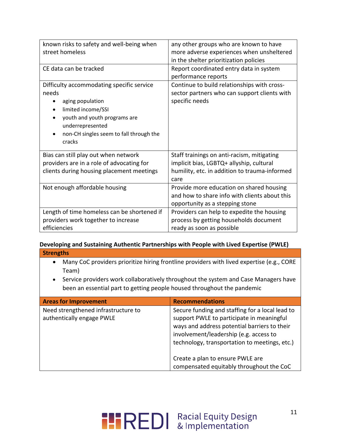| known risks to safety and well-being when<br>street homeless                                                                                                                                                       | any other groups who are known to have<br>more adverse experiences when unsheltered<br>in the shelter prioritization policies                   |
|--------------------------------------------------------------------------------------------------------------------------------------------------------------------------------------------------------------------|-------------------------------------------------------------------------------------------------------------------------------------------------|
| CE data can be tracked                                                                                                                                                                                             | Report coordinated entry data in system<br>performance reports                                                                                  |
| Difficulty accommodating specific service<br>needs<br>aging population<br>limited income/SSI<br>$\bullet$<br>youth and youth programs are<br>underrepresented<br>non-CH singles seem to fall through the<br>cracks | Continue to build relationships with cross-<br>sector partners who can support clients with<br>specific needs                                   |
| Bias can still play out when network<br>providers are in a role of advocating for<br>clients during housing placement meetings                                                                                     | Staff trainings on anti-racism, mitigating<br>implicit bias, LGBTQ+ allyship, cultural<br>humility, etc. in addition to trauma-informed<br>care |
| Not enough affordable housing                                                                                                                                                                                      | Provide more education on shared housing<br>and how to share info with clients about this<br>opportunity as a stepping stone                    |
| Length of time homeless can be shortened if<br>providers work together to increase<br>efficiencies                                                                                                                 | Providers can help to expedite the housing<br>process by getting households document<br>ready as soon as possible                               |

## **Developing and Sustaining Authentic Partnerships with People with Lived Expertise (PWLE) Strengths**

- Many CoC providers prioritize hiring frontline providers with lived expertise (e.g., CORE Team)
- Service providers work collaboratively throughout the system and Case Managers have been an essential part to getting people housed throughout the pandemic

| <b>Areas for Improvement</b>                                     | <b>Recommendations</b>                                                                                                                                                                                                                  |
|------------------------------------------------------------------|-----------------------------------------------------------------------------------------------------------------------------------------------------------------------------------------------------------------------------------------|
| Need strengthened infrastructure to<br>authentically engage PWLE | Secure funding and staffing for a local lead to<br>support PWLE to participate in meaningful<br>ways and address potential barriers to their<br>involvement/leadership (e.g. access to<br>technology, transportation to meetings, etc.) |
|                                                                  | Create a plan to ensure PWLE are<br>compensated equitably throughout the CoC                                                                                                                                                            |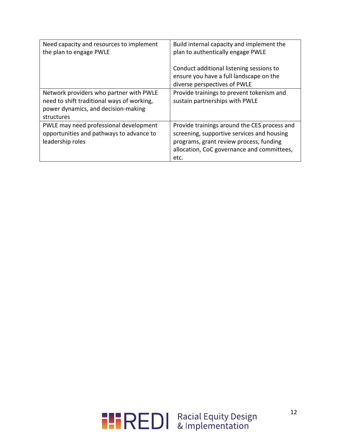| Need capacity and resources to implement<br>the plan to engage PWLE                                                                        | Build internal capacity and implement the<br>plan to authentically engage PWLE                                                                                                              |
|--------------------------------------------------------------------------------------------------------------------------------------------|---------------------------------------------------------------------------------------------------------------------------------------------------------------------------------------------|
|                                                                                                                                            | Conduct additional listening sessions to<br>ensure you have a full landscape on the<br>diverse perspectives of PWLE                                                                         |
| Network providers who partner with PWLE<br>need to shift traditional ways of working,<br>power dynamics, and decision-making<br>structures | Provide trainings to prevent tokenism and<br>sustain partnerships with PWLE                                                                                                                 |
| PWLE may need professional development<br>opportunities and pathways to advance to<br>leadership roles                                     | Provide trainings around the CES process and<br>screening, supportive services and housing<br>programs, grant review process, funding<br>allocation, CoC governance and committees,<br>etc. |